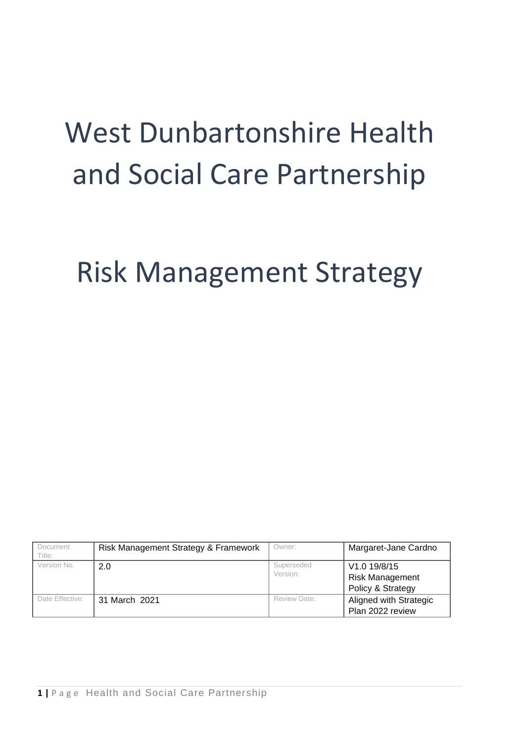# West Dunbartonshire Health and Social Care Partnership

# Risk Management Strategy

| Document<br>Title: | Risk Management Strategy & Framework | Owner:                 | Margaret-Jane Cardno                                        |
|--------------------|--------------------------------------|------------------------|-------------------------------------------------------------|
| Version No.        | 2.0                                  | Superseded<br>Version: | V1.0 19/8/15<br><b>Risk Management</b><br>Policy & Strategy |
| Date Effective:    | 31 March 2021                        | Review Date:           | Aligned with Strategic<br>Plan 2022 review                  |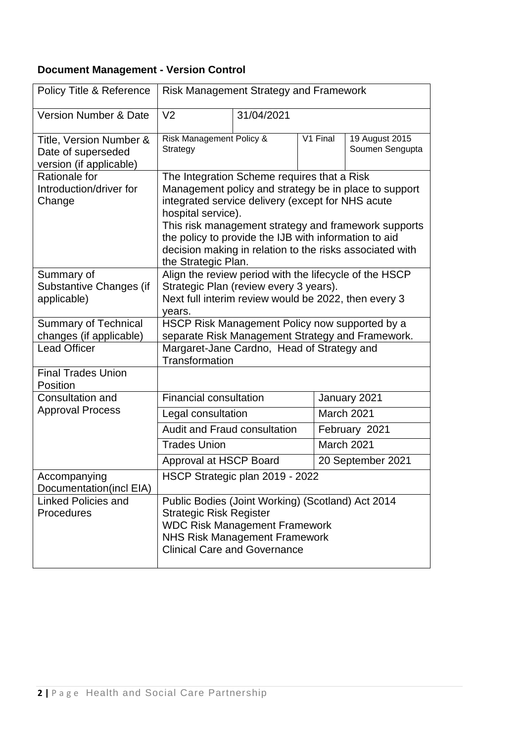### **Document Management - Version Control**

| Policy Title & Reference                                                 | <b>Risk Management Strategy and Framework</b>                                                                                                                                                                                                                                                                                                                                       |                                   |  |                   |  |  |
|--------------------------------------------------------------------------|-------------------------------------------------------------------------------------------------------------------------------------------------------------------------------------------------------------------------------------------------------------------------------------------------------------------------------------------------------------------------------------|-----------------------------------|--|-------------------|--|--|
| <b>Version Number &amp; Date</b>                                         | V <sub>2</sub>                                                                                                                                                                                                                                                                                                                                                                      | 31/04/2021                        |  |                   |  |  |
| Title, Version Number &<br>Date of superseded<br>version (if applicable) | Risk Management Policy &<br>Strategy                                                                                                                                                                                                                                                                                                                                                | 19 August 2015<br>Soumen Sengupta |  |                   |  |  |
| Rationale for<br>Introduction/driver for<br>Change                       | The Integration Scheme requires that a Risk<br>Management policy and strategy be in place to support<br>integrated service delivery (except for NHS acute<br>hospital service).<br>This risk management strategy and framework supports<br>the policy to provide the IJB with information to aid<br>decision making in relation to the risks associated with<br>the Strategic Plan. |                                   |  |                   |  |  |
| Summary of<br>Substantive Changes (if<br>applicable)                     | Align the review period with the lifecycle of the HSCP<br>Strategic Plan (review every 3 years).<br>Next full interim review would be 2022, then every 3<br>years.                                                                                                                                                                                                                  |                                   |  |                   |  |  |
| <b>Summary of Technical</b><br>changes (if applicable)                   | HSCP Risk Management Policy now supported by a<br>separate Risk Management Strategy and Framework.                                                                                                                                                                                                                                                                                  |                                   |  |                   |  |  |
| <b>Lead Officer</b>                                                      | Margaret-Jane Cardno, Head of Strategy and<br><b>Transformation</b>                                                                                                                                                                                                                                                                                                                 |                                   |  |                   |  |  |
| <b>Final Trades Union</b><br>Position                                    |                                                                                                                                                                                                                                                                                                                                                                                     |                                   |  |                   |  |  |
| <b>Consultation and</b>                                                  | <b>Financial consultation</b>                                                                                                                                                                                                                                                                                                                                                       |                                   |  | January 2021      |  |  |
| <b>Approval Process</b>                                                  | Legal consultation                                                                                                                                                                                                                                                                                                                                                                  |                                   |  | March 2021        |  |  |
|                                                                          | Audit and Fraud consultation                                                                                                                                                                                                                                                                                                                                                        |                                   |  | February 2021     |  |  |
|                                                                          | <b>Trades Union</b>                                                                                                                                                                                                                                                                                                                                                                 |                                   |  | March 2021        |  |  |
|                                                                          | Approval at HSCP Board                                                                                                                                                                                                                                                                                                                                                              |                                   |  | 20 September 2021 |  |  |
| Accompanying<br>Documentation(incl EIA)                                  | HSCP Strategic plan 2019 - 2022                                                                                                                                                                                                                                                                                                                                                     |                                   |  |                   |  |  |
| <b>Linked Policies and</b><br>Procedures                                 | Public Bodies (Joint Working) (Scotland) Act 2014<br><b>Strategic Risk Register</b><br><b>WDC Risk Management Framework</b><br><b>NHS Risk Management Framework</b><br><b>Clinical Care and Governance</b>                                                                                                                                                                          |                                   |  |                   |  |  |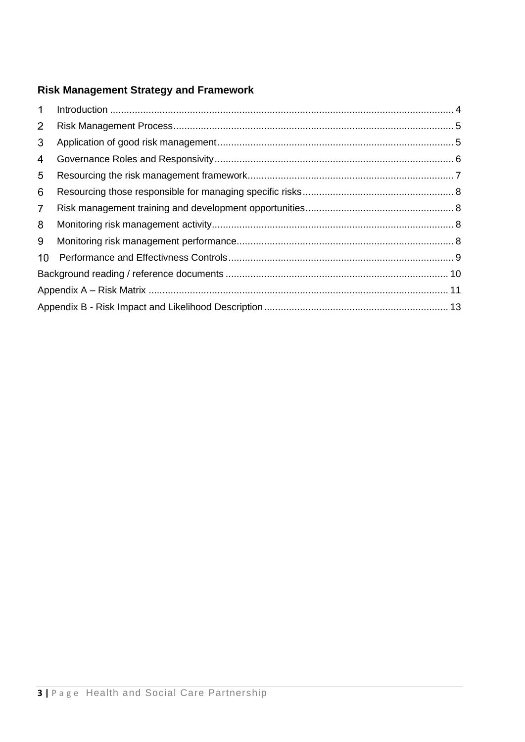### **Risk Management Strategy and Framework**

| $\mathbf 1$    |  |
|----------------|--|
| $\overline{2}$ |  |
| 3              |  |
| 4              |  |
| 5              |  |
| 6              |  |
| $\overline{7}$ |  |
| 8              |  |
| 9              |  |
| 10             |  |
|                |  |
|                |  |
|                |  |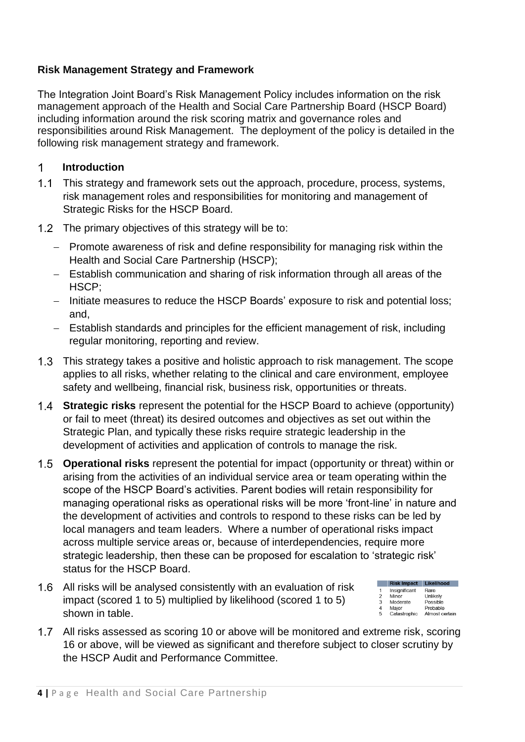### **Risk Management Strategy and Framework**

The Integration Joint Board's Risk Management Policy includes information on the risk management approach of the Health and Social Care Partnership Board (HSCP Board) including information around the risk scoring matrix and governance roles and responsibilities around Risk Management. The deployment of the policy is detailed in the following risk management strategy and framework.

#### $\mathbf 1$ **Introduction**

- 1.1 This strategy and framework sets out the approach, procedure, process, systems, risk management roles and responsibilities for monitoring and management of Strategic Risks for the HSCP Board.
- 1.2 The primary objectives of this strategy will be to:
	- − Promote awareness of risk and define responsibility for managing risk within the Health and Social Care Partnership (HSCP);
	- − Establish communication and sharing of risk information through all areas of the HSCP;
	- − Initiate measures to reduce the HSCP Boards' exposure to risk and potential loss; and,
	- − Establish standards and principles for the efficient management of risk, including regular monitoring, reporting and review.
- 1.3 This strategy takes a positive and holistic approach to risk management. The scope applies to all risks, whether relating to the clinical and care environment, employee safety and wellbeing, financial risk, business risk, opportunities or threats.
- **Strategic risks** represent the potential for the HSCP Board to achieve (opportunity) or fail to meet (threat) its desired outcomes and objectives as set out within the Strategic Plan, and typically these risks require strategic leadership in the development of activities and application of controls to manage the risk.
- **Operational risks** represent the potential for impact (opportunity or threat) within or arising from the activities of an individual service area or team operating within the scope of the HSCP Board's activities. Parent bodies will retain responsibility for managing operational risks as operational risks will be more 'front-line' in nature and the development of activities and controls to respond to these risks can be led by local managers and team leaders. Where a number of operational risks impact across multiple service areas or, because of interdependencies, require more strategic leadership, then these can be proposed for escalation to 'strategic risk' status for the HSCP Board.
- All risks will be analysed consistently with an evaluation of risk impact (scored 1 to 5) multiplied by likelihood (scored 1 to 5) shown in table.

|                | <b>Risk Impact</b> | Likelihood     |
|----------------|--------------------|----------------|
| 1              | Insignificant      | Rare           |
| $\overline{2}$ | Minor              | Unlikely       |
| 3              | Moderate           | Possible       |
| 4              | Maior              | Probable       |
| 5              | Catastrophic       | Almost certain |

All risks assessed as scoring 10 or above will be monitored and extreme risk, scoring 16 or above, will be viewed as significant and therefore subject to closer scrutiny by the HSCP Audit and Performance Committee.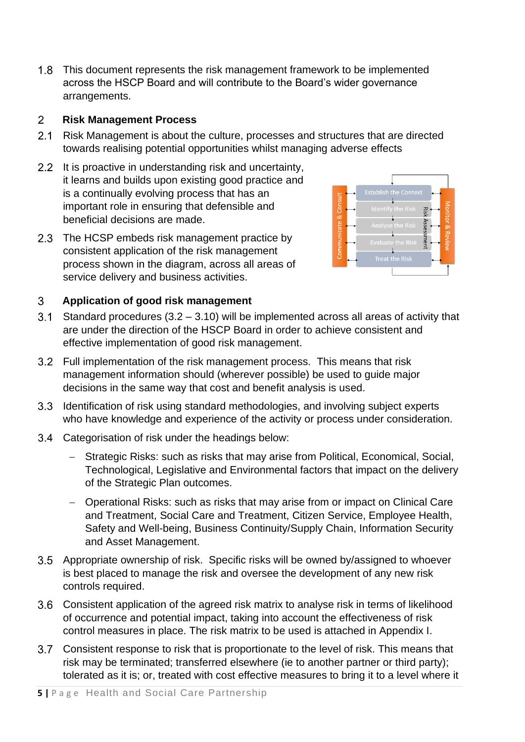1.8 This document represents the risk management framework to be implemented across the HSCP Board and will contribute to the Board's wider governance arrangements.

#### $2<sup>1</sup>$ **Risk Management Process**

- 2.1 Risk Management is about the culture, processes and structures that are directed towards realising potential opportunities whilst managing adverse effects
- 2.2 It is proactive in understanding risk and uncertainty, it learns and builds upon existing good practice and is a continually evolving process that has an important role in ensuring that defensible and beneficial decisions are made.
- 2.3 The HCSP embeds risk management practice by consistent application of the risk management process shown in the diagram, across all areas of service delivery and business activities.



#### $3<sup>1</sup>$ **Application of good risk management**

- 3.1 Standard procedures  $(3.2 3.10)$  will be implemented across all areas of activity that are under the direction of the HSCP Board in order to achieve consistent and effective implementation of good risk management.
- Full implementation of the risk management process. This means that risk management information should (wherever possible) be used to guide major decisions in the same way that cost and benefit analysis is used.
- 3.3 Identification of risk using standard methodologies, and involving subject experts who have knowledge and experience of the activity or process under consideration.
- 3.4 Categorisation of risk under the headings below:
	- − Strategic Risks: such as risks that may arise from Political, Economical, Social, Technological, Legislative and Environmental factors that impact on the delivery of the Strategic Plan outcomes.
	- − Operational Risks: such as risks that may arise from or impact on Clinical Care and Treatment, Social Care and Treatment, Citizen Service, Employee Health, Safety and Well-being, Business Continuity/Supply Chain, Information Security and Asset Management.
- Appropriate ownership of risk. Specific risks will be owned by/assigned to whoever is best placed to manage the risk and oversee the development of any new risk controls required.
- Consistent application of the agreed risk matrix to analyse risk in terms of likelihood of occurrence and potential impact, taking into account the effectiveness of risk control measures in place. The risk matrix to be used is attached in Appendix I.
- Consistent response to risk that is proportionate to the level of risk. This means that risk may be terminated; transferred elsewhere (ie to another partner or third party); tolerated as it is; or, treated with cost effective measures to bring it to a level where it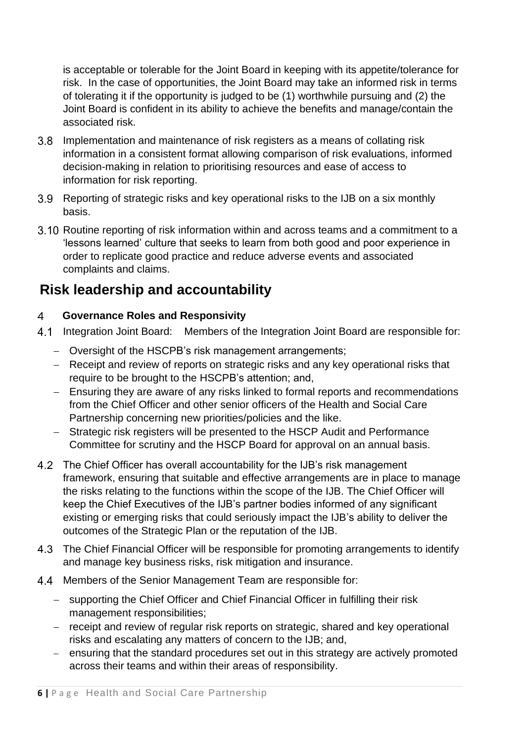is acceptable or tolerable for the Joint Board in keeping with its appetite/tolerance for risk. In the case of opportunities, the Joint Board may take an informed risk in terms of tolerating it if the opportunity is judged to be (1) worthwhile pursuing and (2) the Joint Board is confident in its ability to achieve the benefits and manage/contain the associated risk.

- Implementation and maintenance of risk registers as a means of collating risk information in a consistent format allowing comparison of risk evaluations, informed decision-making in relation to prioritising resources and ease of access to information for risk reporting.
- Reporting of strategic risks and key operational risks to the IJB on a six monthly basis.
- 3.10 Routine reporting of risk information within and across teams and a commitment to a 'lessons learned' culture that seeks to learn from both good and poor experience in order to replicate good practice and reduce adverse events and associated complaints and claims.

# **Risk leadership and accountability**

#### $\overline{4}$ **Governance Roles and Responsivity**

- Integration Joint Board: Members of the Integration Joint Board are responsible for:
	- − Oversight of the HSCPB's risk management arrangements;
	- − Receipt and review of reports on strategic risks and any key operational risks that require to be brought to the HSCPB's attention; and,
	- − Ensuring they are aware of any risks linked to formal reports and recommendations from the Chief Officer and other senior officers of the Health and Social Care Partnership concerning new priorities/policies and the like.
	- − Strategic risk registers will be presented to the HSCP Audit and Performance Committee for scrutiny and the HSCP Board for approval on an annual basis.
- 4.2 The Chief Officer has overall accountability for the IJB's risk management framework, ensuring that suitable and effective arrangements are in place to manage the risks relating to the functions within the scope of the IJB. The Chief Officer will keep the Chief Executives of the IJB's partner bodies informed of any significant existing or emerging risks that could seriously impact the IJB's ability to deliver the outcomes of the Strategic Plan or the reputation of the IJB.
- The Chief Financial Officer will be responsible for promoting arrangements to identify and manage key business risks, risk mitigation and insurance.
- 4.4 Members of the Senior Management Team are responsible for:
	- − supporting the Chief Officer and Chief Financial Officer in fulfilling their risk management responsibilities;
	- − receipt and review of regular risk reports on strategic, shared and key operational risks and escalating any matters of concern to the IJB; and,
	- − ensuring that the standard procedures set out in this strategy are actively promoted across their teams and within their areas of responsibility.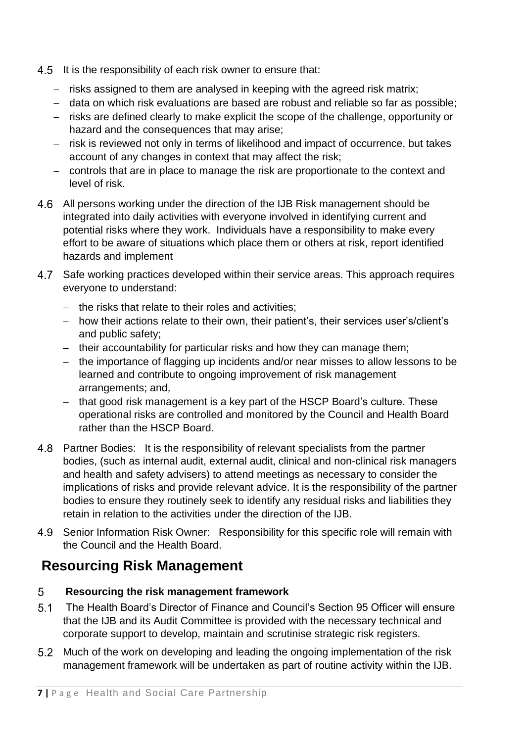- 4.5 It is the responsibility of each risk owner to ensure that:
	- − risks assigned to them are analysed in keeping with the agreed risk matrix;
	- − data on which risk evaluations are based are robust and reliable so far as possible;
	- − risks are defined clearly to make explicit the scope of the challenge, opportunity or hazard and the consequences that may arise;
	- − risk is reviewed not only in terms of likelihood and impact of occurrence, but takes account of any changes in context that may affect the risk;
	- − controls that are in place to manage the risk are proportionate to the context and level of risk.
- All persons working under the direction of the IJB Risk management should be integrated into daily activities with everyone involved in identifying current and potential risks where they work. Individuals have a responsibility to make every effort to be aware of situations which place them or others at risk, report identified hazards and implement
- Safe working practices developed within their service areas. This approach requires everyone to understand:
	- − the risks that relate to their roles and activities;
	- − how their actions relate to their own, their patient's, their services user's/client's and public safety;
	- − their accountability for particular risks and how they can manage them;
	- − the importance of flagging up incidents and/or near misses to allow lessons to be learned and contribute to ongoing improvement of risk management arrangements; and,
	- − that good risk management is a key part of the HSCP Board's culture. These operational risks are controlled and monitored by the Council and Health Board rather than the HSCP Board.
- Partner Bodies: It is the responsibility of relevant specialists from the partner bodies, (such as internal audit, external audit, clinical and non-clinical risk managers and health and safety advisers) to attend meetings as necessary to consider the implications of risks and provide relevant advice. It is the responsibility of the partner bodies to ensure they routinely seek to identify any residual risks and liabilities they retain in relation to the activities under the direction of the IJB.
- 4.9 Senior Information Risk Owner: Responsibility for this specific role will remain with the Council and the Health Board.

# **Resourcing Risk Management**

#### 5 **Resourcing the risk management framework**

- $5.1$ The Health Board's Director of Finance and Council's Section 95 Officer will ensure that the IJB and its Audit Committee is provided with the necessary technical and corporate support to develop, maintain and scrutinise strategic risk registers.
- 5.2 Much of the work on developing and leading the ongoing implementation of the risk management framework will be undertaken as part of routine activity within the IJB.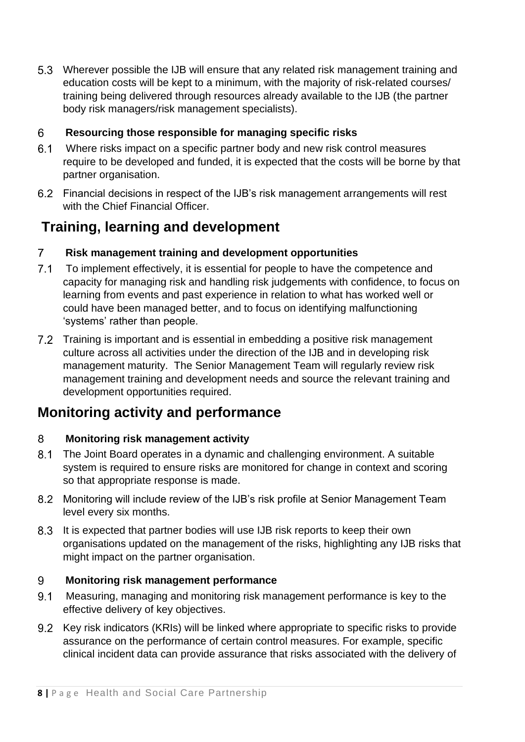Wherever possible the IJB will ensure that any related risk management training and education costs will be kept to a minimum, with the majority of risk-related courses/ training being delivered through resources already available to the IJB (the partner body risk managers/risk management specialists).

#### 6 **Resourcing those responsible for managing specific risks**

- Where risks impact on a specific partner body and new risk control measures require to be developed and funded, it is expected that the costs will be borne by that partner organisation.
- Financial decisions in respect of the IJB's risk management arrangements will rest with the Chief Financial Officer.

# **Training, learning and development**

#### $\overline{7}$ **Risk management training and development opportunities**

- $7.1$ To implement effectively, it is essential for people to have the competence and capacity for managing risk and handling risk judgements with confidence, to focus on learning from events and past experience in relation to what has worked well or could have been managed better, and to focus on identifying malfunctioning 'systems' rather than people.
- Training is important and is essential in embedding a positive risk management culture across all activities under the direction of the IJB and in developing risk management maturity. The Senior Management Team will regularly review risk management training and development needs and source the relevant training and development opportunities required.

# **Monitoring activity and performance**

#### 8 **Monitoring risk management activity**

- $8.1$ The Joint Board operates in a dynamic and challenging environment. A suitable system is required to ensure risks are monitored for change in context and scoring so that appropriate response is made.
- Monitoring will include review of the IJB's risk profile at Senior Management Team level every six months.
- 8.3 It is expected that partner bodies will use IJB risk reports to keep their own organisations updated on the management of the risks, highlighting any IJB risks that might impact on the partner organisation.

#### 9 **Monitoring risk management performance**

- Measuring, managing and monitoring risk management performance is key to the effective delivery of key objectives.
- 9.2 Key risk indicators (KRIs) will be linked where appropriate to specific risks to provide assurance on the performance of certain control measures. For example, specific clinical incident data can provide assurance that risks associated with the delivery of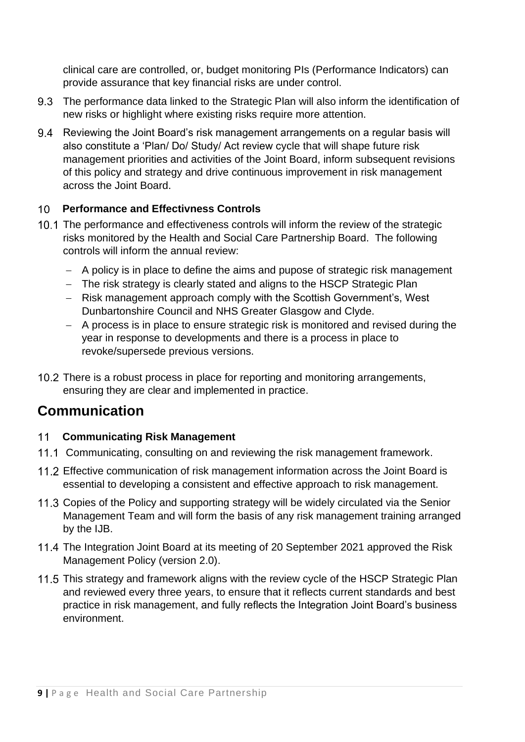clinical care are controlled, or, budget monitoring PIs (Performance Indicators) can provide assurance that key financial risks are under control.

- 9.3 The performance data linked to the Strategic Plan will also inform the identification of new risks or highlight where existing risks require more attention.
- 9.4 Reviewing the Joint Board's risk management arrangements on a regular basis will also constitute a 'Plan/ Do/ Study/ Act review cycle that will shape future risk management priorities and activities of the Joint Board, inform subsequent revisions of this policy and strategy and drive continuous improvement in risk management across the Joint Board.

#### $10<sup>1</sup>$ **Performance and Effectivness Controls**

- 10.1 The performance and effectiveness controls will inform the review of the strategic risks monitored by the Health and Social Care Partnership Board. The following controls will inform the annual review:
	- − A policy is in place to define the aims and pupose of strategic risk management
	- − The risk strategy is clearly stated and aligns to the HSCP Strategic Plan
	- − Risk management approach comply with the Scottish Government's, West Dunbartonshire Council and NHS Greater Glasgow and Clyde.
	- − A process is in place to ensure strategic risk is monitored and revised during the year in response to developments and there is a process in place to revoke/supersede previous versions.
- 10.2 There is a robust process in place for reporting and monitoring arrangements, ensuring they are clear and implemented in practice.

# **Communication**

#### $11$ **Communicating Risk Management**

- 11.1 Communicating, consulting on and reviewing the risk management framework.
- Effective communication of risk management information across the Joint Board is essential to developing a consistent and effective approach to risk management.
- 11.3 Copies of the Policy and supporting strategy will be widely circulated via the Senior Management Team and will form the basis of any risk management training arranged by the IJB.
- 11.4 The Integration Joint Board at its meeting of 20 September 2021 approved the Risk Management Policy (version 2.0).
- 11.5 This strategy and framework aligns with the review cycle of the HSCP Strategic Plan and reviewed every three years, to ensure that it reflects current standards and best practice in risk management, and fully reflects the Integration Joint Board's business environment.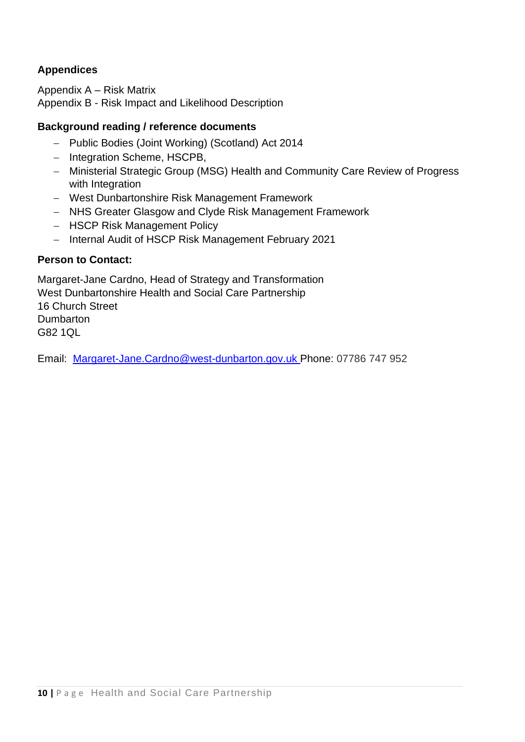### **Appendices**

Appendix A – Risk Matrix Appendix B - Risk Impact and Likelihood Description

### **Background reading / reference documents**

- − Public Bodies (Joint Working) (Scotland) Act 2014
- − Integration Scheme, HSCPB,
- − Ministerial Strategic Group (MSG) Health and Community Care Review of Progress with Integration
- − West Dunbartonshire Risk Management Framework
- − NHS Greater Glasgow and Clyde Risk Management Framework
- − HSCP Risk Management Policy
- − Internal Audit of HSCP Risk Management February 2021

### **Person to Contact:**

Margaret-Jane Cardno, Head of Strategy and Transformation West Dunbartonshire Health and Social Care Partnership 16 Church Street **Dumbarton** G82 1QL

Email: [Margaret-Jane.Cardno@west-dunbarton.gov.uk](mailto:Margaret-Jane.Cardno@west-dunbarton.gov.uk) Phone: 07786 747 952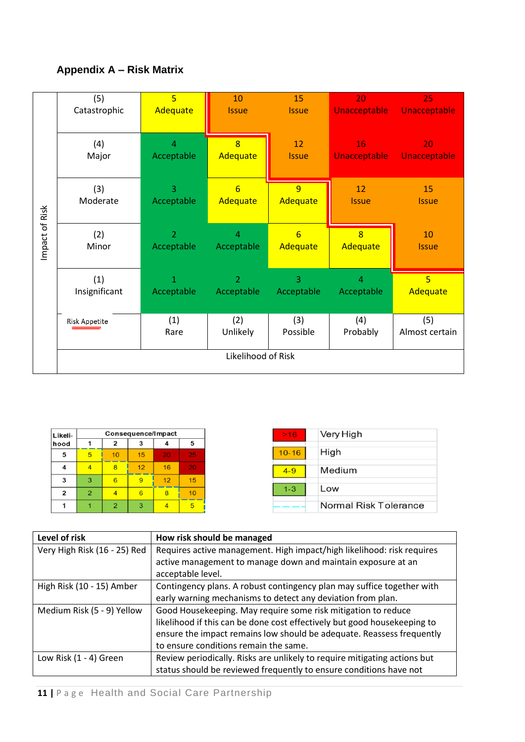### **Appendix A – Risk Matrix**



| Likeli-        |                |                |    | Consequence/Impact |                 |
|----------------|----------------|----------------|----|--------------------|-----------------|
| hood           |                | 2              | 3  | 4                  | 5               |
| 5              | 5              | 10             | 15 | 20                 | 25 <sub>1</sub> |
| 4              | $\overline{4}$ | 8              | 12 | 16                 | 20 <sup>°</sup> |
| 3              | 3              | 6              | 9  | 12                 | 15              |
| $\overline{2}$ | $\overline{2}$ | 4              | 6  | 8                  | 10 <sup>1</sup> |
|                |                | $\overline{2}$ | 3  | 4                  | 5               |

| Level of risk                | How risk should be managed                                                |
|------------------------------|---------------------------------------------------------------------------|
| Very High Risk (16 - 25) Red | Requires active management. High impact/high likelihood: risk requires    |
|                              | active management to manage down and maintain exposure at an              |
|                              | acceptable level.                                                         |
| High Risk (10 - 15) Amber    | Contingency plans. A robust contingency plan may suffice together with    |
|                              | early warning mechanisms to detect any deviation from plan.               |
| Medium Risk (5 - 9) Yellow   | Good Housekeeping. May require some risk mitigation to reduce             |
|                              | likelihood if this can be done cost effectively but good housekeeping to  |
|                              | ensure the impact remains low should be adequate. Reassess frequently     |
|                              | to ensure conditions remain the same.                                     |
| Low Risk (1 - 4) Green       | Review periodically. Risks are unlikely to require mitigating actions but |
|                              | status should be reviewed frequently to ensure conditions have not        |